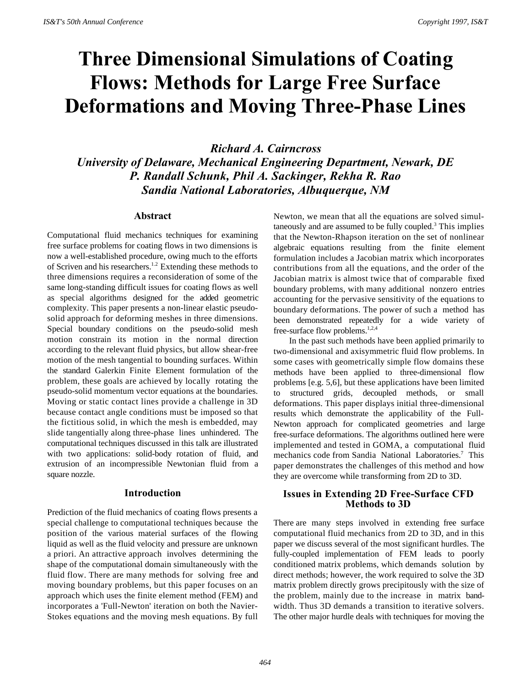# **Three Dimensional Simulations of Coating Flows: Methods for Large Free Surface Deformations and Moving Three-Phase Lines**

*Richard A. Cairncross University of Delaware, Mechanical Engineering Department, Newark, DE P. Randall Schunk, Phil A. Sackinger, Rekha R. Rao Sandia National Laboratories, Albuquerque, NM*

## **Abstract**

Computational fluid mechanics techniques for examining free surface problems for coating flows in two dimensions is now a well-established procedure, owing much to the efforts of Scriven and his researchers.<sup>1.2</sup> Extending these methods to three dimensions requires a reconsideration of some of the same long-standing difficult issues for coating flows as well as special algorithms designed for the added geometric complexity. This paper presents a non-linear elastic pseudosolid approach for deforming meshes in three dimensions. Special boundary conditions on the pseudo-solid mesh motion constrain its motion in the normal direction according to the relevant fluid physics, but allow shear-free motion of the mesh tangential to bounding surfaces. Within the standard Galerkin Finite Element formulation of the problem, these goals are achieved by locally rotating the pseudo-solid momentum vector equations at the boundaries. Moving or static contact lines provide a challenge in 3D because contact angle conditions must be imposed so that the fictitious solid, in which the mesh is embedded, may slide tangentially along three-phase lines unhindered. The computational techniques discussed in this talk are illustrated with two applications: solid-body rotation of fluid, and extrusion of an incompressible Newtonian fluid from a square nozzle.

#### **Introduction**

Prediction of the fluid mechanics of coating flows presents a special challenge to computational techniques because the position of the various material surfaces of the flowing liquid as well as the fluid velocity and pressure are unknown a priori. An attractive approach involves determining the shape of the computational domain simultaneously with the fluid flow. There are many methods for solving free and moving boundary problems, but this paper focuses on an approach which uses the finite element method (FEM) and incorporates a 'Full-Newton' iteration on both the Navier-Stokes equations and the moving mesh equations. By full

Newton, we mean that all the equations are solved simultaneously and are assumed to be fully coupled. $3$  This implies that the Newton-Rhapson iteration on the set of nonlinear algebraic equations resulting from the finite element formulation includes a Jacobian matrix which incorporates contributions from all the equations, and the order of the Jacobian matrix is almost twice that of comparable fixed boundary problems, with many additional nonzero entries accounting for the pervasive sensitivity of the equations to boundary deformations. The power of such a method has been demonstrated repeatedly for a wide variety of free-surface flow problems.<sup>1,2,4</sup>

In the past such methods have been applied primarily to two-dimensional and axisymmetric fluid flow problems. In some cases with geometrically simple flow domains these methods have been applied to three-dimensional flow problems [e.g. 5,6], but these applications have been limited to structured grids, decoupled methods, or small deformations. This paper displays initial three-dimensional results which demonstrate the applicability of the Full-Newton approach for complicated geometries and large free-surface deformations. The algorithms outlined here were implemented and tested in GOMA, a computational fluid mechanics code from Sandia National Laboratories.<sup>7</sup> This paper demonstrates the challenges of this method and how they are overcome while transforming from 2D to 3D.

# **Issues in Extending 2D Free-Surface CFD Methods to 3D**

There are many steps involved in extending free surface computational fluid mechanics from 2D to 3D, and in this paper we discuss several of the most significant hurdles. The fully-coupled implementation of FEM leads to poorly conditioned matrix problems, which demands solution by direct methods; however, the work required to solve the 3D matrix problem directly grows precipitously with the size of the problem, mainly due to the increase in matrix bandwidth. Thus 3D demands a transition to iterative solvers. The other major hurdle deals with techniques for moving the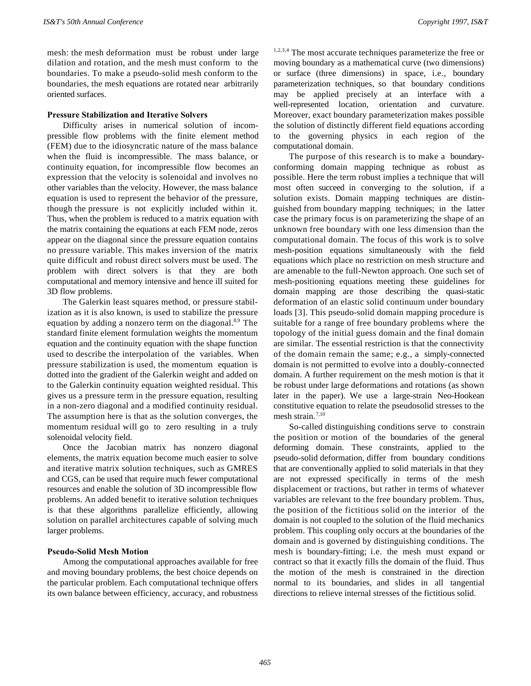mesh: the mesh deformation must be robust under large dilation and rotation, and the mesh must conform to the boundaries. To make a pseudo-solid mesh conform to the boundaries, the mesh equations are rotated near arbitrarily oriented surfaces.

## **Pressure Stabilization and Iterative Solvers**

Difficulty arises in numerical solution of incompressible flow problems with the finite element method (FEM) due to the idiosyncratic nature of the mass balance when the fluid is incompressible. The mass balance, or continuity equation, for incompressible flow becomes an expression that the velocity is solenoidal and involves no other variables than the velocity. However, the mass balance equation is used to represent the behavior of the pressure, though the pressure is not explicitly included within it. Thus, when the problem is reduced to a matrix equation with the matrix containing the equations at each FEM node, zeros appear on the diagonal since the pressure equation contains no pressure variable. This makes inversion of the matrix quite difficult and robust direct solvers must be used. The problem with direct solvers is that they are both computational and memory intensive and hence ill suited for 3D flow problems.

The Galerkin least squares method, or pressure stabilization as it is also known, is used to stabilize the pressure equation by adding a nonzero term on the diagonal. $8.9$  The standard finite element formulation weights the momentum equation and the continuity equation with the shape function used to describe the interpolation of the variables. When pressure stabilization is used, the momentum equation is dotted into the gradient of the Galerkin weight and added on to the Galerkin continuity equation weighted residual. This gives us a pressure term in the pressure equation, resulting in a non-zero diagonal and a modified continuity residual. The assumption here is that as the solution converges, the momentum residual will go to zero resulting in a truly solenoidal velocity field.

Once the Jacobian matrix has nonzero diagonal elements, the matrix equation become much easier to solve and iterative matrix solution techniques, such as GMRES and CGS, can be used that require much fewer computational resources and enable the solution of 3D incompressible flow problems. An added benefit to iterative solution techniques is that these algorithms parallelize efficiently, allowing solution on parallel architectures capable of solving much larger problems.

## **Pseudo-Solid Mesh Motion**

Among the computational approaches available for free and moving boundary problems, the best choice depends on the particular problem. Each computational technique offers its own balance between efficiency, accuracy, and robustness

<sup>1,2,3,4</sup> The most accurate techniques parameterize the free or moving boundary as a mathematical curve (two dimensions) or surface (three dimensions) in space, i.e., boundary parameterization techniques, so that boundary conditions may be applied precisely at an interface with a well-represented location, orientation and curvature. Moreover, exact boundary parameterization makes possible the solution of distinctly different field equations according to the governing physics in each region of the computational domain.

The purpose of this research is to make a boundaryconforming domain mapping technique as robust as possible. Here the term robust implies a technique that will most often succeed in converging to the solution, if a solution exists. Domain mapping techniques are distinguished from boundary mapping techniques; in the latter case the primary focus is on parameterizing the shape of an unknown free boundary with one less dimension than the computational domain. The focus of this work is to solve mesh-position equations simultaneously with the field equations which place no restriction on mesh structure and are amenable to the full-Newton approach. One such set of mesh-positioning equations meeting these guidelines for domain mapping are those describing the quasi-static deformation of an elastic solid continuum under boundary loads [3]. This pseudo-solid domain mapping procedure is suitable for a range of free boundary problems where the topology of the initial guess domain and the final domain are similar. The essential restriction is that the connectivity of the domain remain the same; e.g., a simply-connected domain is not permitted to evolve into a doubly-connected domain. A further requirement on the mesh motion is that it be robust under large deformations and rotations (as shown later in the paper). We use a large-strain Neo-Hookean constitutive equation to relate the pseudosolid stresses to the mesh strain. $7,10$ 

So-called distinguishing conditions serve to constrain the position or motion of the boundaries of the general deforming domain. These constraints, applied to the pseudo-solid deformation, differ from boundary conditions that are conventionally applied to solid materials in that they are not expressed specifically in terms of the mesh displacement or tractions, but rather in terms of whatever variables are relevant to the free boundary problem. Thus, the position of the fictitious solid on the interior of the domain is not coupled to the solution of the fluid mechanics problem. This coupling only occurs at the boundaries of the domain and is governed by distinguishing conditions. The mesh is boundary-fitting; i.e. the mesh must expand or contract so that it exactly fills the domain of the fluid. Thus the motion of the mesh is constrained in the direction normal to its boundaries, and slides in all tangential directions to relieve internal stresses of the fictitious solid.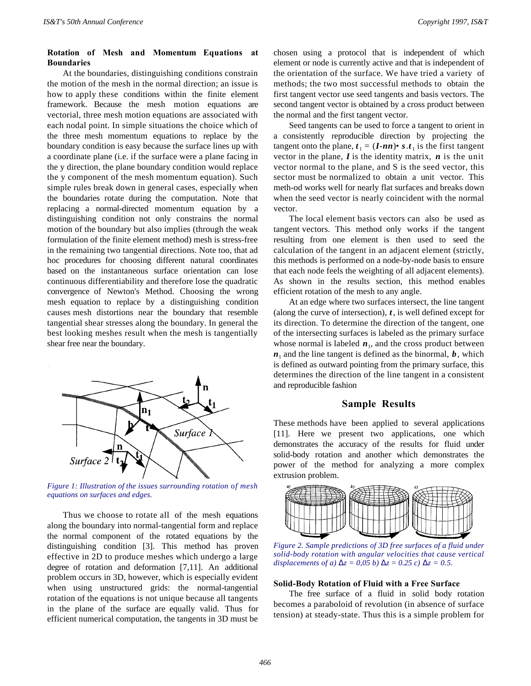# **Rotation of Mesh and Momentum Equations at Boundaries**

At the boundaries, distinguishing conditions constrain the motion of the mesh in the normal direction; an issue is how to apply these conditions within the finite element framework. Because the mesh motion equations are vectorial, three mesh motion equations are associated with each nodal point. In simple situations the choice which of the three mesh momentum equations to replace by the boundary condition is easy because the surface lines up with a coordinate plane (i.e. if the surface were a plane facing in the y direction, the plane boundary condition would replace the y component of the mesh momentum equation). Such simple rules break down in general cases, especially when the boundaries rotate during the computation. Note that replacing a normal-directed momentum equation by a distinguishing condition not only constrains the normal motion of the boundary but also implies (through the weak formulation of the finite element method) mesh is stress-free in the remaining two tangential directions. Note too, that ad hoc procedures for choosing different natural coordinates based on the instantaneous surface orientation can lose continuous differentiability and therefore lose the quadratic convergence of Newton's Method. Choosing the wrong mesh equation to replace by a distinguishing condition causes mesh distortions near the boundary that resemble tangential shear stresses along the boundary. In general the best looking meshes result when the mesh is tangentially shear free near the boundary.



*Figure 1: Illustration of the issues surrounding rotation* o*f mesh equations on surfaces and edges.*

Thus we choose to rotate all of the mesh equations along the boundary into normal-tangential form and replace the normal component of the rotated equations by the distinguishing condition [3]. This method has proven effective in 2D to produce meshes which undergo a large degree of rotation and deformation [7,11]. An additional problem occurs in 3D, however, which is especially evident when using unstructured grids: the normal-tangential rotation of the equations is not unique because all tangents in the plane of the surface are equally valid. Thus for efficient numerical computation, the tangents in 3D must be

chosen using a protocol that is independent of which element or node is currently active and that is independent of the orientation of the surface. We have tried a variety of methods; the two most successful methods to obtain the first tangent vector use seed tangents and basis vectors. The second tangent vector is obtained by a cross product between the normal and the first tangent vector.

Seed tangents can be used to force a tangent to orient in a consistently reproducible direction by projecting the tangent onto the plane,  $t_1 = (I \cdot nn) \cdot s \cdot t_1$  is the first tangent vector in the plane,  $\boldsymbol{I}$  is the identity matrix,  $\boldsymbol{n}$  is the unit vector normal to the plane, and S is the seed vector, this sector must be normalized to obtain a unit vector. This meth-od works well for nearly flat surfaces and breaks down when the seed vector is nearly coincident with the normal vector.

The local element basis vectors can also be used as tangent vectors. This method only works if the tangent resulting from one element is then used to seed the calculation of the tangent in an adjacent element (strictly, this methods is performed on a node-by-node basis to ensure that each node feels the weighting of all adjacent elements). As shown in the results section, this method enables efficient rotation of the mesh to any angle.

At an edge where two surfaces intersect, the line tangent (along the curve of intersection), *t*, is well defined except for its direction. To determine the direction of the tangent, one of the intersecting surfaces is labeled as the primary surface whose normal is labeled  $n_1$ , and the cross product between  $n_1$  and the line tangent is defined as the binormal,  $b$ , which is defined as outward pointing from the primary surface, this determines the direction of the line tangent in a consistent and reproducible fashion

## **Sample Results**

These methods have been applied to several applications [11]. Here we present two applications, one which demonstrates the accuracy of the results for fluid under solid-body rotation and another which demonstrates the power of the method for analyzing a more complex extrusion problem.



*Figure 2. Sample predictions of 3D free surfaces of a fluid under solid-body rotation with angular velocities that cause vertical displacements of a)*  $\Delta z = 0.05$  *b)*  $\Delta z = 0.25$  *c)*  $\Delta z = 0.5$ .

#### **Solid-Body Rotation of Fluid with a Free Surface**

The free surface of a fluid in solid body rotation becomes a paraboloid of revolution (in absence of surface tension) at steady-state. Thus this is a simple problem for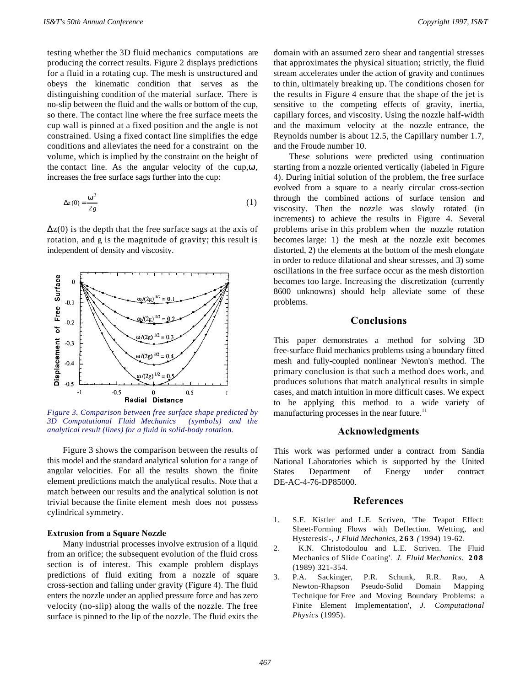testing whether the 3D fluid mechanics computations are producing the correct results. Figure 2 displays predictions for a fluid in a rotating cup. The mesh is unstructured and obeys the kinematic condition that serves as the distinguishing condition of the material surface. There is no-slip between the fluid and the walls or bottom of the cup, so there. The contact line where the free surface meets the cup wall is pinned at a fixed position and the angle is not constrained. Using a fixed contact line simplifies the edge conditions and alleviates the need for a constraint on the volume, which is implied by the constraint on the height of the contact line. As the angular velocity of the cup, $\omega$ , increases the free surface sags further into the cup:

$$
\Delta z(0) = \frac{\omega^2}{2g} \tag{1}
$$

 $\Delta z(0)$  is the depth that the free surface sags at the axis of rotation, and g is the magnitude of gravity; this result is independent of density and viscosity.



*Figure 3. Comparison between free surface shape predicted by 3D Computational Fluid Mechanics (symbols) and the analytical result (lines) for a fluid in solid-body rotation.*

Figure 3 shows the comparison between the results of this model and the standard analytical solution for a range of angular velocities. For all the results shown the finite element predictions match the analytical results. Note that a match between our results and the analytical solution is not trivial because the finite element mesh does not possess cylindrical symmetry.

## **Extrusion from a Square Nozzle**

Many industrial processes involve extrusion of a liquid from an orifice; the subsequent evolution of the fluid cross section is of interest. This example problem displays predictions of fluid exiting from a nozzle of square cross-section and falling under gravity (Figure 4). The fluid enters the nozzle under an applied pressure force and has zero velocity (no-slip) along the walls of the nozzle. The free surface is pinned to the lip of the nozzle. The fluid exits the domain with an assumed zero shear and tangential stresses that approximates the physical situation; strictly, the fluid stream accelerates under the action of gravity and continues to thin, ultimately breaking up. The conditions chosen for the results in Figure 4 ensure that the shape of the jet is sensitive to the competing effects of gravity, inertia, capillary forces, and viscosity. Using the nozzle half-width and the maximum velocity at the nozzle entrance, the Reynolds number is about 12.5, the Capillary number 1.7, and the Froude number 10.

These solutions were predicted using continuation starting from a nozzle oriented vertically (labeled in Figure 4). During initial solution of the problem, the free surface evolved from a square to a nearly circular cross-section through the combined actions of surface tension and viscosity. Then the nozzle was slowly rotated (in increments) to achieve the results in Figure 4. Several problems arise in this problem when the nozzle rotation becomes large: 1) the mesh at the nozzle exit becomes distorted, 2) the elements at the bottom of the mesh elongate in order to reduce dilational and shear stresses, and 3) some oscillations in the free surface occur as the mesh distortion becomes too large. Increasing the discretization (currently 8600 unknowns) should help alleviate some of these problems.

# **Conclusions**

This paper demonstrates a method for solving 3D free-surface fluid mechanics problems using a boundary fitted mesh and fully-coupled nonlinear Newton's method. The primary conclusion is that such a method does work, and produces solutions that match analytical results in simple cases, and match intuition in more difficult cases. We expect to be applying this method to a wide variety of manufacturing processes in the near future.<sup>11</sup>

#### **Acknowledgments**

This work was performed under a contract from Sandia National Laboratories which is supported by the United States Department of Energy under contract DE-AC-4-76-DP85000.

# **References**

- 1. S.F. Kistler and L.E. Scriven, 'The Teapot Effect: Sheet-Forming Flows with Deflection. Wetting, and Hysteresis'-, *J Fluid Mechanics,* **263** *(* 1994) 19-62.
- 2. K.N. Christodoulou and L.E. Scriven. The Fluid Mechanics of Slide Coating'. *J. Fluid Mechanics.* **208** (1989) 321-354.
- 3. P.A. Sackinger, P.R. Schunk, R.R. Rao, A Newton-Rhapson Pseudo-Solid Domain Mapping Technique for Free and Moving Boundary Problems: a Finite Element Implementation', *J. Computational Physics* (1995).